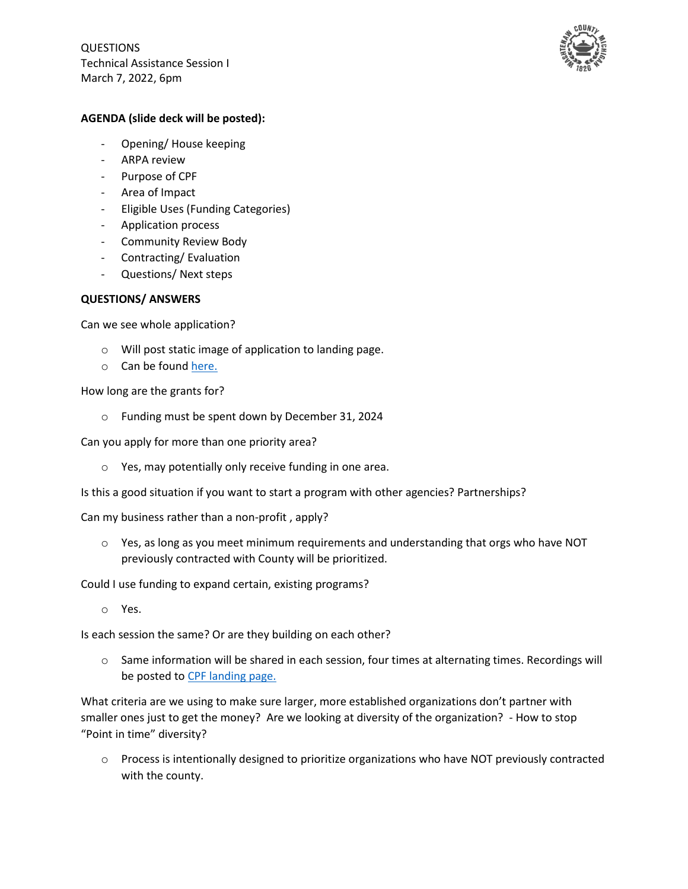QUESTIONS Technical Assistance Session I March 7, 2022, 6pm



## **AGENDA (slide deck will be posted):**

- Opening/ House keeping
- ARPA review
- Purpose of CPF
- Area of Impact
- Eligible Uses (Funding Categories)
- Application process
- Community Review Body
- Contracting/ Evaluation
- Questions/ Next steps

## **QUESTIONS/ ANSWERS**

Can we see whole application?

- o Will post static image of application to landing page.
- o Can be found [here.](https://www.washtenaw.org/3564/Application-Images)

How long are the grants for?

o Funding must be spent down by December 31, 2024

Can you apply for more than one priority area?

o Yes, may potentially only receive funding in one area.

Is this a good situation if you want to start a program with other agencies? Partnerships?

Can my business rather than a non-profit , apply?

 $\circ$  Yes, as long as you meet minimum requirements and understanding that orgs who have NOT previously contracted with County will be prioritized.

Could I use funding to expand certain, existing programs?

o Yes.

Is each session the same? Or are they building on each other?

o Same information will be shared in each session, four times at alternating times. Recordings will be posted to [CPF landing page.](https://www.washtenaw.org/3563/Technical-Assistance-Sessions)

What criteria are we using to make sure larger, more established organizations don't partner with smaller ones just to get the money? Are we looking at diversity of the organization? - How to stop "Point in time" diversity?

o Process is intentionally designed to prioritize organizations who have NOT previously contracted with the county.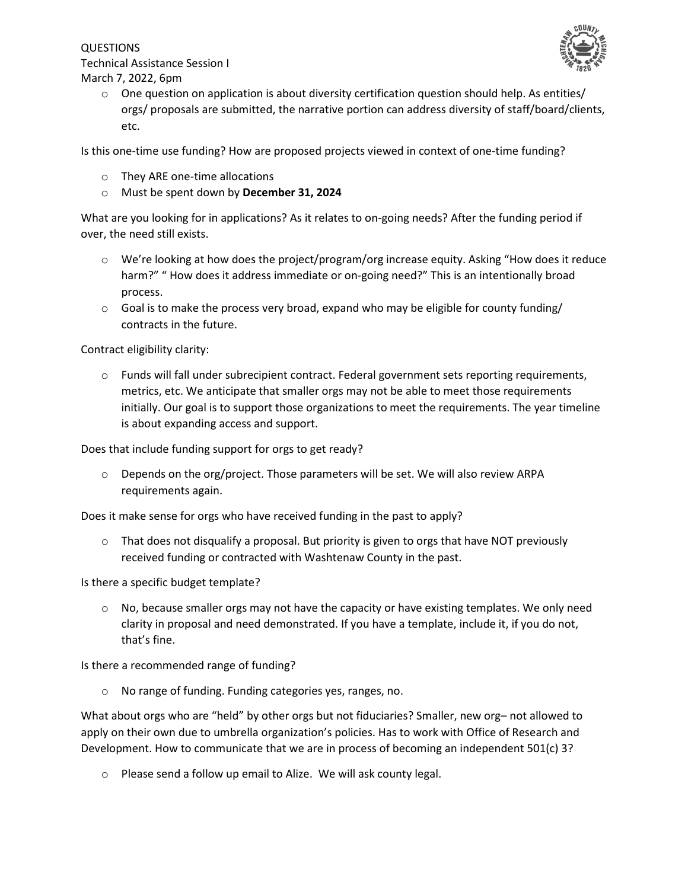QUESTIONS Technical Assistance Session I March 7, 2022, 6pm



 $\circ$  One question on application is about diversity certification question should help. As entities/ orgs/ proposals are submitted, the narrative portion can address diversity of staff/board/clients, etc.

Is this one-time use funding? How are proposed projects viewed in context of one-time funding?

- o They ARE one-time allocations
- o Must be spent down by **December 31, 2024**

What are you looking for in applications? As it relates to on-going needs? After the funding period if over, the need still exists.

- o We're looking at how does the project/program/org increase equity. Asking "How does it reduce harm?" " How does it address immediate or on-going need?" This is an intentionally broad process.
- $\circ$  Goal is to make the process very broad, expand who may be eligible for county funding/ contracts in the future.

Contract eligibility clarity:

o Funds will fall under subrecipient contract. Federal government sets reporting requirements, metrics, etc. We anticipate that smaller orgs may not be able to meet those requirements initially. Our goal is to support those organizations to meet the requirements. The year timeline is about expanding access and support.

Does that include funding support for orgs to get ready?

 $\circ$  Depends on the org/project. Those parameters will be set. We will also review ARPA requirements again.

Does it make sense for orgs who have received funding in the past to apply?

 $\circ$  That does not disqualify a proposal. But priority is given to orgs that have NOT previously received funding or contracted with Washtenaw County in the past.

Is there a specific budget template?

 $\circ$  No, because smaller orgs may not have the capacity or have existing templates. We only need clarity in proposal and need demonstrated. If you have a template, include it, if you do not, that's fine.

Is there a recommended range of funding?

o No range of funding. Funding categories yes, ranges, no.

What about orgs who are "held" by other orgs but not fiduciaries? Smaller, new org- not allowed to apply on their own due to umbrella organization's policies. Has to work with Office of Research and Development. How to communicate that we are in process of becoming an independent 501(c) 3?

o Please send a follow up email to Alize. We will ask county legal.